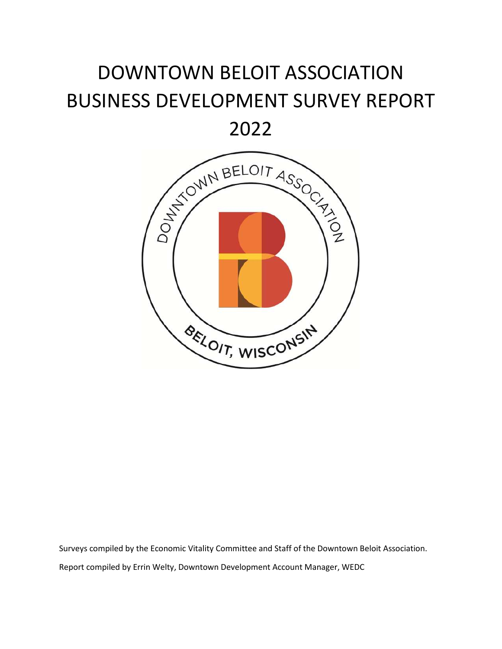# DOWNTOWN BELOIT ASSOCIATION BUSINESS DEVELOPMENT SURVEY REPORT

2022



Surveys compiled by the Economic Vitality Committee and Staff of the Downtown Beloit Association. Report compiled by Errin Welty, Downtown Development Account Manager, WEDC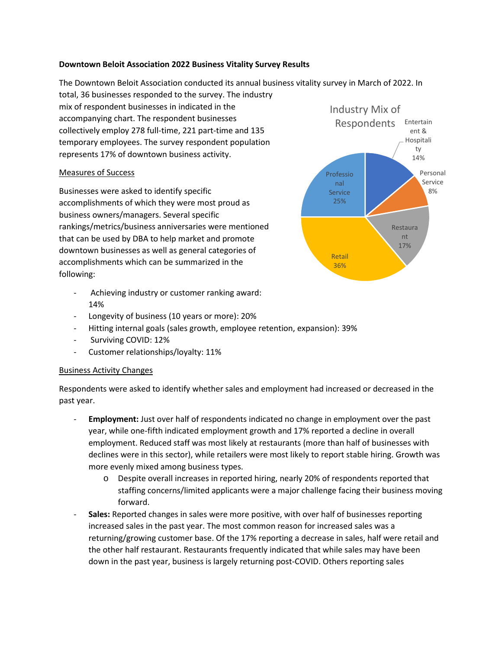### **Downtown Beloit Association 2022 Business Vitality Survey Results**

ty Industry Mix of Respondents The Downtown Beloit Association conducted its annual business vitality survey in March of 2022. In total, 36 businesses responded to the survey. The industry mix of respondent businesses in indicated in the accompanying chart. The respondent businesses collectively employ 278 full-time, 221 part-time and 135 temporary employees. The survey respondent population represents 17% of downtown business activity.

### Measures of Success

Businesses were asked to identify specific accomplishments of which they were most proud as business owners/managers. Several specific rankings/metrics/business anniversaries were mentioned that can be used by DBA to help market and promote downtown businesses as well as general categories of accomplishments which can be summarized in the following:

- Achieving industry or customer ranking award: 14%
- Longevity of business (10 years or more): 20%
- Hitting internal goals (sales growth, employee retention, expansion): 39%
- Surviving COVID: 12%
- Customer relationships/loyalty: 11%

### Business Activity Changes

Respondents were asked to identify whether sales and employment had increased or decreased in the past year.

- Employment: Just over half of respondents indicated no change in employment over the past year, while one-fifth indicated employment growth and 17% reported a decline in overall employment. Reduced staff was most likely at restaurants (more than half of businesses with declines were in this sector), while retailers were most likely to report stable hiring. Growth was more evenly mixed among business types.
	- o Despite overall increases in reported hiring, nearly 20% of respondents reported that staffing concerns/limited applicants were a major challenge facing their business moving forward.
- **Sales:** Reported changes in sales were more positive, with over half of businesses reporting increased sales in the past year. The most common reason for increased sales was a returning/growing customer base. Of the 17% reporting a decrease in sales, half were retail and the other half restaurant. Restaurants frequently indicated that while sales may have been down in the past year, business is largely returning post-COVID. Others reporting sales